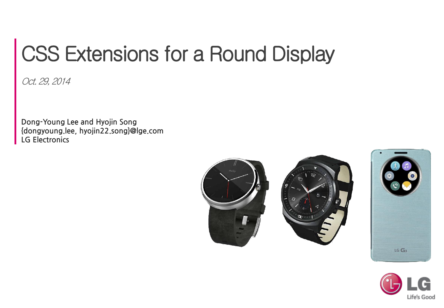# CSS Extensions for a Round Display

Oct. 29, 2014

Dong-Young Lee and Hyojin Song {dongyoung.lee, hyojin22.song}@lge.com LG Electronics





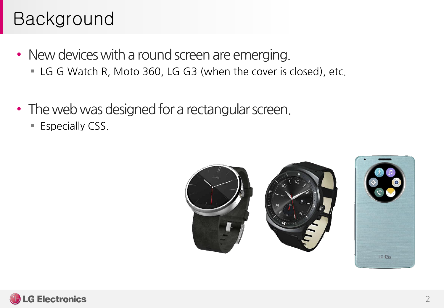#### Background

- New devices with a round screen are emerging. LG G Watch R, Moto 360, LG G3 (when the cover is closed), etc.
- The web was designed for a rectangular screen.
	- **Especially CSS.**





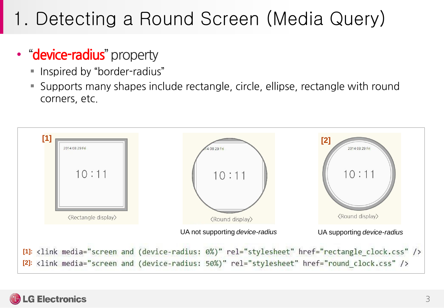## 1. Detecting a Round Screen (Media Query)

#### • "device-radius" property

- **Inspired by "border-radius"**
- Supports many shapes include rectangle, circle, ellipse, rectangle with round corners, etc.



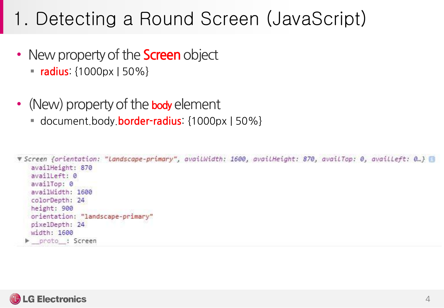#### 1. Detecting a Round Screen (JavaScript)

- New property of the **Screen** object
	- $\blacksquare$  radius: {1000px | 50%}
- (New) property of the body element
	- document.body.**border-radius:** {1000px | 50%}

```
V Screen {orientation: "Landscape-primary", availWidth: 1600, availHeight: 870, availTop: 0, availLeft: 0...}
 availHeight: 870
 availleft: 0
 availTop: 0
 availWidth: 1600
 colorDepth: 24
 height: 900
 orientation: "landscape-primary"
 pixelDepth: 24
 width: 1600
proto : Screen
```
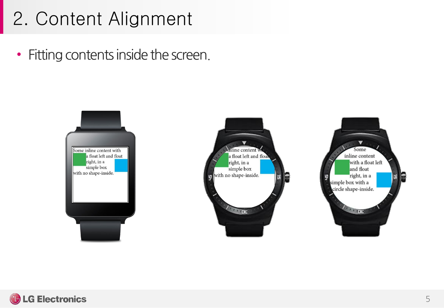#### 2. Content Alignment

• Fitting contents inside the screen.







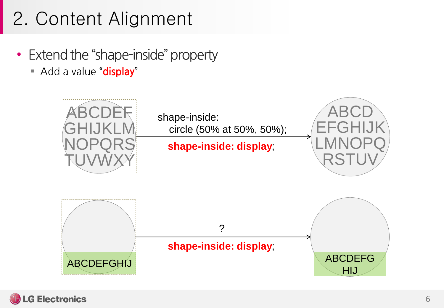## 2. Content Alignment

- Extend the "shape-inside" property
	- Add a value "display"



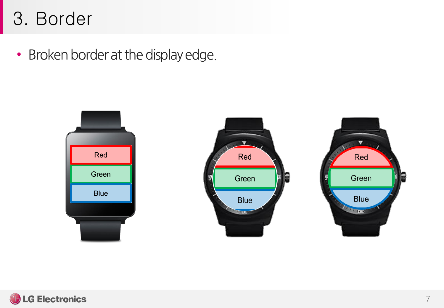#### 3. Border

• Broken border at the display edge.



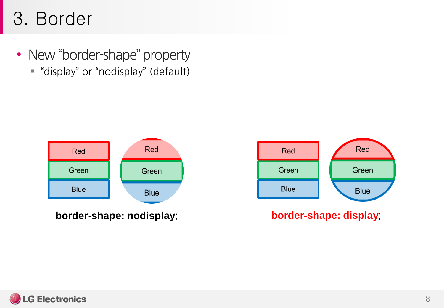#### 3. Border

• New "border-shape" property "display" or "nodisplay" (default)



**border-shape: nodisplay**; **border-shape: display**;



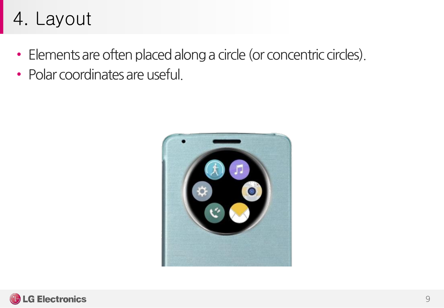#### 4. Layout

- Elements are often placed along a circle (or concentric circles).
- Polar coordinates are useful.



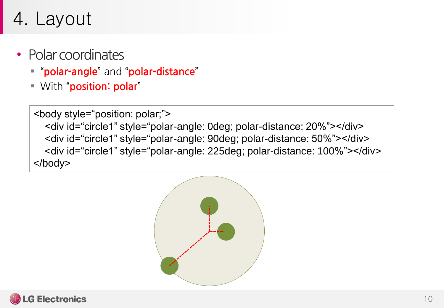#### 4. Layout

- Polar coordinates
	- "polar-angle" and "polar-distance"
	- **With "position: polar"**

<body style="position: polar;"> <div id="circle1" style="polar-angle: 0deg; polar-distance: 20%"></div> <div id="circle1" style="polar-angle: 90deg; polar-distance: 50%"></div> <div id="circle1" style="polar-angle: 225deg; polar-distance: 100%"></div> </body>